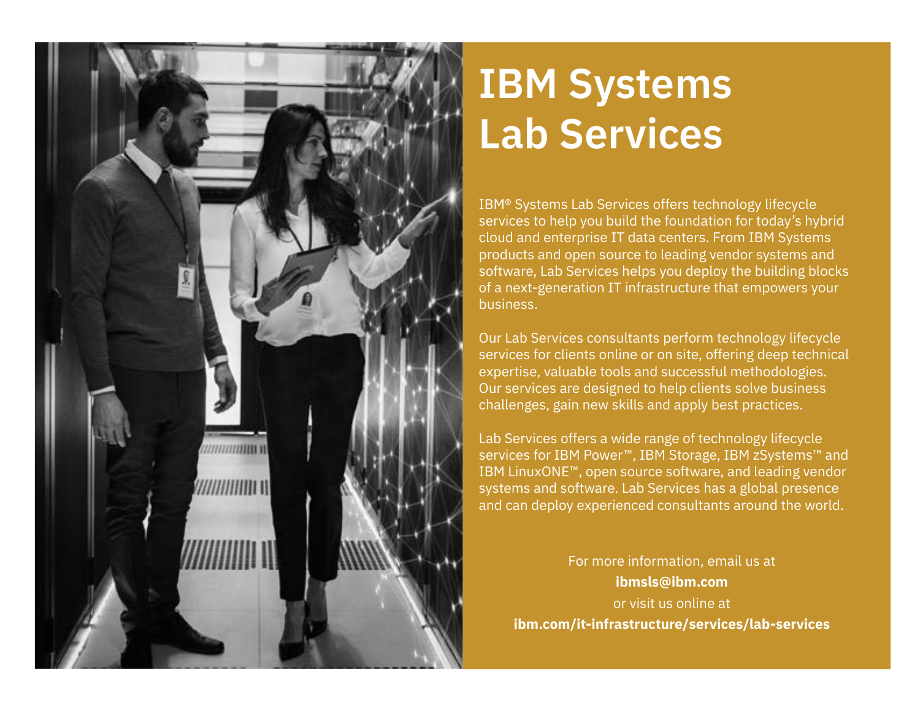

## **IBM Systems Lab Services**

IBM® Systems Lab Services offers technology lifecycle services to help you build the foundation for today's hybrid cloud and enterprise IT data centers. From IBM Systems products and open source to leading vendor systems and software, Lab Services helps you deploy the building blocks of a next-generation IT infrastructure that empowers your business.

Our Lab Services consultants perform technology lifecycle services for clients online or on site, offering deep technical expertise, valuable tools and successful methodologies. Our services are designed to help clients solve business challenges, gain new skills and apply best practices.

Lab Services offers a wide range of technology lifecycle services for IBM Power™, IBM Storage, IBM zSystems™ and IBM LinuxONE™, open source software, and leading vendor systems and software. Lab Services has a global presence and can deploy experienced consultants around the world.

For more information, email us at **ibmsls@ibm.com**  or visit us online at **ibm.com/it-infrastructure/services/lab-services**